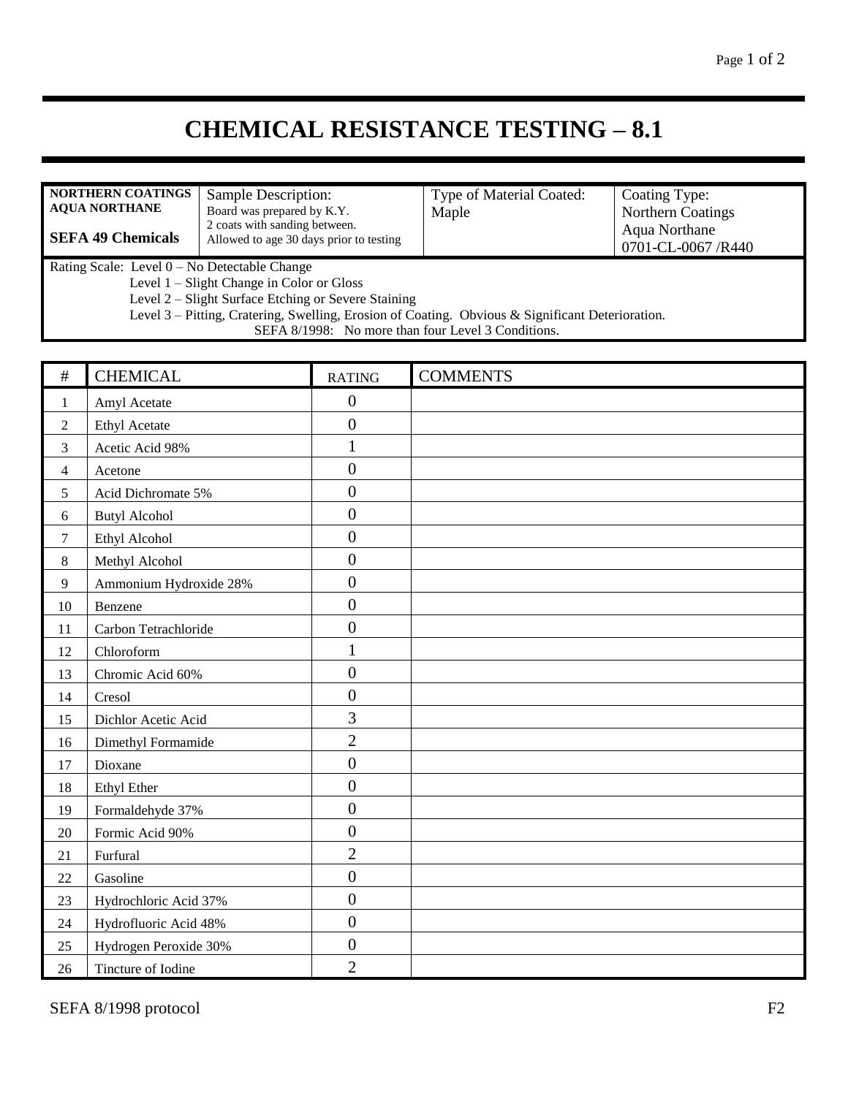## **CHEMICAL RESISTANCE TESTING – 8.1**

| <b>NORTHERN COATINGS</b><br>Sample Description:<br><b>AQUA NORTHANE</b><br>Board was prepared by K.Y.<br>2 coats with sanding between.<br><b>SEFA 49 Chemicals</b><br>Allowed to age 30 days prior to testing                                                                                              |                        |  | Type of Material Coated:<br>Maple | Coating Type:<br>Northern Coatings<br>Aqua Northane<br>0701-CL-0067 /R440 |  |  |  |
|------------------------------------------------------------------------------------------------------------------------------------------------------------------------------------------------------------------------------------------------------------------------------------------------------------|------------------------|--|-----------------------------------|---------------------------------------------------------------------------|--|--|--|
| Rating Scale: Level 0 - No Detectable Change<br>Level 1 - Slight Change in Color or Gloss<br>Level 2 – Slight Surface Etching or Severe Staining<br>Level 3 – Pitting, Cratering, Swelling, Erosion of Coating. Obvious & Significant Deterioration.<br>SEFA 8/1998: No more than four Level 3 Conditions. |                        |  |                                   |                                                                           |  |  |  |
| $\#$                                                                                                                                                                                                                                                                                                       | <b>CHEMICAL</b>        |  | <b>RATING</b>                     | <b>COMMENTS</b>                                                           |  |  |  |
| $\mathbf{1}$                                                                                                                                                                                                                                                                                               | Amyl Acetate           |  | $\boldsymbol{0}$                  |                                                                           |  |  |  |
| $\overline{2}$                                                                                                                                                                                                                                                                                             | <b>Ethyl Acetate</b>   |  | $\boldsymbol{0}$                  |                                                                           |  |  |  |
| 3                                                                                                                                                                                                                                                                                                          | Acetic Acid 98%        |  | 1                                 |                                                                           |  |  |  |
| $\overline{4}$                                                                                                                                                                                                                                                                                             | Acetone                |  | $\boldsymbol{0}$                  |                                                                           |  |  |  |
| 5                                                                                                                                                                                                                                                                                                          | Acid Dichromate 5%     |  | $\overline{0}$                    |                                                                           |  |  |  |
| 6                                                                                                                                                                                                                                                                                                          | <b>Butyl Alcohol</b>   |  | $\boldsymbol{0}$                  |                                                                           |  |  |  |
| $\tau$                                                                                                                                                                                                                                                                                                     | Ethyl Alcohol          |  | $\overline{0}$                    |                                                                           |  |  |  |
| $\,8\,$                                                                                                                                                                                                                                                                                                    | Methyl Alcohol         |  | $\overline{0}$                    |                                                                           |  |  |  |
| $\overline{9}$                                                                                                                                                                                                                                                                                             | Ammonium Hydroxide 28% |  | $\overline{0}$                    |                                                                           |  |  |  |
| 10                                                                                                                                                                                                                                                                                                         | Benzene                |  | $\overline{0}$                    |                                                                           |  |  |  |
| 11                                                                                                                                                                                                                                                                                                         | Carbon Tetrachloride   |  | $\boldsymbol{0}$                  |                                                                           |  |  |  |
| 12                                                                                                                                                                                                                                                                                                         | Chloroform             |  | $\mathbf{1}$                      |                                                                           |  |  |  |
| 13                                                                                                                                                                                                                                                                                                         | Chromic Acid 60%       |  | $\boldsymbol{0}$                  |                                                                           |  |  |  |
| 14                                                                                                                                                                                                                                                                                                         | Cresol                 |  | $\boldsymbol{0}$                  |                                                                           |  |  |  |
| 15                                                                                                                                                                                                                                                                                                         | Dichlor Acetic Acid    |  | 3                                 |                                                                           |  |  |  |
| 16                                                                                                                                                                                                                                                                                                         | Dimethyl Formamide     |  | $\overline{2}$                    |                                                                           |  |  |  |
| 17                                                                                                                                                                                                                                                                                                         | Dioxane                |  | $\boldsymbol{0}$                  |                                                                           |  |  |  |
| 18                                                                                                                                                                                                                                                                                                         | Ethyl Ether            |  | $\boldsymbol{0}$                  |                                                                           |  |  |  |
| 19                                                                                                                                                                                                                                                                                                         | Formaldehyde 37%       |  | $\boldsymbol{0}$                  |                                                                           |  |  |  |
| $20\,$                                                                                                                                                                                                                                                                                                     | Formic Acid 90%        |  | $\boldsymbol{0}$                  |                                                                           |  |  |  |
| 21                                                                                                                                                                                                                                                                                                         | Furfural               |  | $\overline{2}$                    |                                                                           |  |  |  |
| 22                                                                                                                                                                                                                                                                                                         | Gasoline               |  | $\boldsymbol{0}$                  |                                                                           |  |  |  |
| 23                                                                                                                                                                                                                                                                                                         | Hydrochloric Acid 37%  |  | $\boldsymbol{0}$                  |                                                                           |  |  |  |
| 24                                                                                                                                                                                                                                                                                                         | Hydrofluoric Acid 48%  |  | $\boldsymbol{0}$                  |                                                                           |  |  |  |
| 25                                                                                                                                                                                                                                                                                                         | Hydrogen Peroxide 30%  |  | $\boldsymbol{0}$                  |                                                                           |  |  |  |
| 26                                                                                                                                                                                                                                                                                                         | Tincture of Iodine     |  | $\overline{2}$                    |                                                                           |  |  |  |

SEFA 8/1998 protocol F2